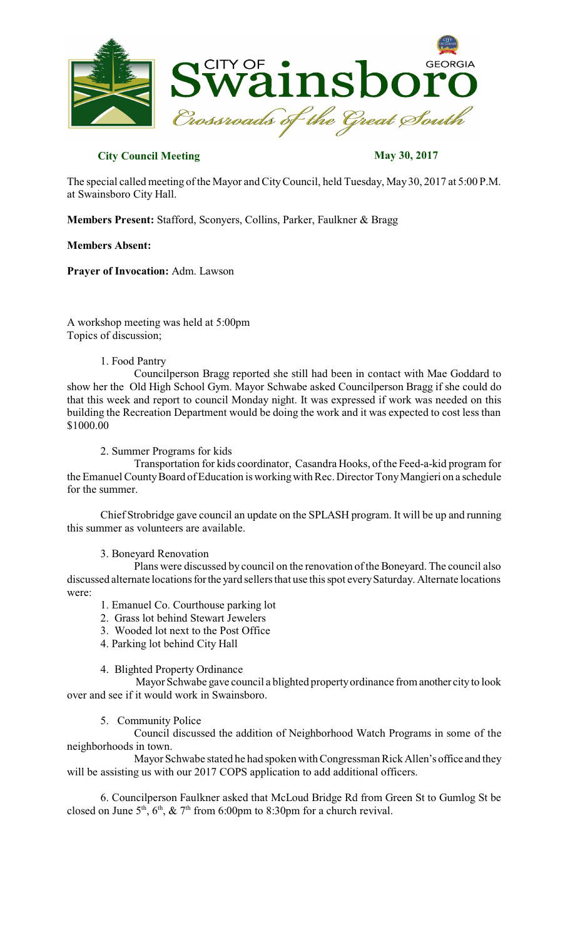

# **City Council Meeting May 30, 2017**

The special called meeting of the Mayor and CityCouncil, held Tuesday, May30, 2017 at 5:00 P.M. at Swainsboro City Hall.

**Members Present:** Stafford, Sconyers, Collins, Parker, Faulkner & Bragg

## **Members Absent:**

**Prayer of Invocation:** Adm. Lawson

A workshop meeting was held at 5:00pm Topics of discussion;

### 1. Food Pantry

Councilperson Bragg reported she still had been in contact with Mae Goddard to show her the Old High School Gym. Mayor Schwabe asked Councilperson Bragg if she could do that this week and report to council Monday night. It was expressed if work was needed on this building the Recreation Department would be doing the work and it was expected to cost less than \$1000.00

### 2. Summer Programs for kids

Transportation for kids coordinator, Casandra Hooks, of the Feed-a-kid program for the Emanuel County Board of Education is working with Rec. Director Tony Mangieri on a schedule for the summer.

Chief Strobridge gave council an update on the SPLASH program. It will be up and running this summer as volunteers are available.

#### 3. Boneyard Renovation

Plans were discussed by council on the renovation of the Boneyard. The council also discussed alternate locations for the yard sellers that use this spot every Saturday. Alternate locations were:

- 1. Emanuel Co. Courthouse parking lot
- 2. Grass lot behind Stewart Jewelers
- 3. Wooded lot next to the Post Office
- 4. Parking lot behind City Hall

## 4. Blighted Property Ordinance

Mayor Schwabe gave council a blighted propertyordinance from another cityto look over and see if it would work in Swainsboro.

## 5. Community Police

Council discussed the addition of Neighborhood Watch Programs in some of the neighborhoods in town.

Mayor Schwabe stated he had spoken with Congressman Rick Allen's office and they will be assisting us with our 2017 COPS application to add additional officers.

6. Councilperson Faulkner asked that McLoud Bridge Rd from Green St to Gumlog St be closed on June  $5<sup>th</sup>$ ,  $6<sup>th</sup>$ ,  $\& 7<sup>th</sup>$  from 6:00pm to 8:30pm for a church revival.